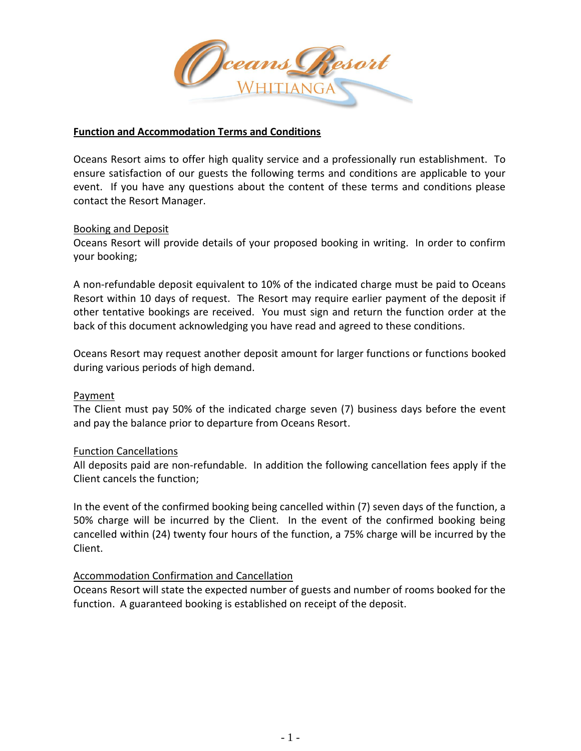

#### **Function and Accommodation Terms and Conditions**

Oceans Resort aims to offer high quality service and a professionally run establishment. To ensure satisfaction of our guests the following terms and conditions are applicable to your event. If you have any questions about the content of these terms and conditions please contact the Resort Manager.

#### Booking and Deposit

Oceans Resort will provide details of your proposed booking in writing. In order to confirm your booking;

A non-refundable deposit equivalent to 10% of the indicated charge must be paid to Oceans Resort within 10 days of request. The Resort may require earlier payment of the deposit if other tentative bookings are received. You must sign and return the function order at the back of this document acknowledging you have read and agreed to these conditions.

Oceans Resort may request another deposit amount for larger functions or functions booked during various periods of high demand.

#### Payment

The Client must pay 50% of the indicated charge seven (7) business days before the event and pay the balance prior to departure from Oceans Resort.

# Function Cancellations

All deposits paid are non-refundable. In addition the following cancellation fees apply if the Client cancels the function;

In the event of the confirmed booking being cancelled within (7) seven days of the function, a 50% charge will be incurred by the Client. In the event of the confirmed booking being cancelled within (24) twenty four hours of the function, a 75% charge will be incurred by the Client.

# Accommodation Confirmation and Cancellation

Oceans Resort will state the expected number of guests and number of rooms booked for the function. A guaranteed booking is established on receipt of the deposit.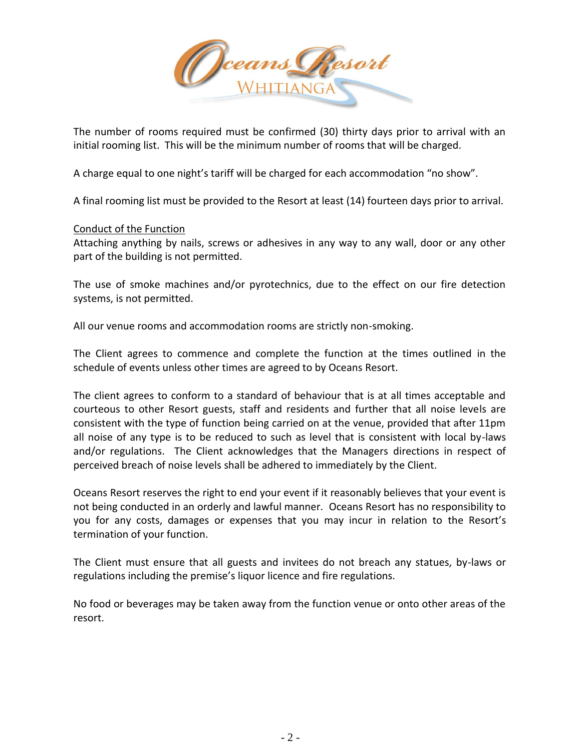

The number of rooms required must be confirmed (30) thirty days prior to arrival with an initial rooming list. This will be the minimum number of rooms that will be charged.

A charge equal to one night's tariff will be charged for each accommodation "no show".

A final rooming list must be provided to the Resort at least (14) fourteen days prior to arrival.

# Conduct of the Function

Attaching anything by nails, screws or adhesives in any way to any wall, door or any other part of the building is not permitted.

The use of smoke machines and/or pyrotechnics, due to the effect on our fire detection systems, is not permitted.

All our venue rooms and accommodation rooms are strictly non-smoking.

The Client agrees to commence and complete the function at the times outlined in the schedule of events unless other times are agreed to by Oceans Resort.

The client agrees to conform to a standard of behaviour that is at all times acceptable and courteous to other Resort guests, staff and residents and further that all noise levels are consistent with the type of function being carried on at the venue, provided that after 11pm all noise of any type is to be reduced to such as level that is consistent with local by-laws and/or regulations. The Client acknowledges that the Managers directions in respect of perceived breach of noise levels shall be adhered to immediately by the Client.

Oceans Resort reserves the right to end your event if it reasonably believes that your event is not being conducted in an orderly and lawful manner. Oceans Resort has no responsibility to you for any costs, damages or expenses that you may incur in relation to the Resort's termination of your function.

The Client must ensure that all guests and invitees do not breach any statues, by-laws or regulations including the premise's liquor licence and fire regulations.

No food or beverages may be taken away from the function venue or onto other areas of the resort.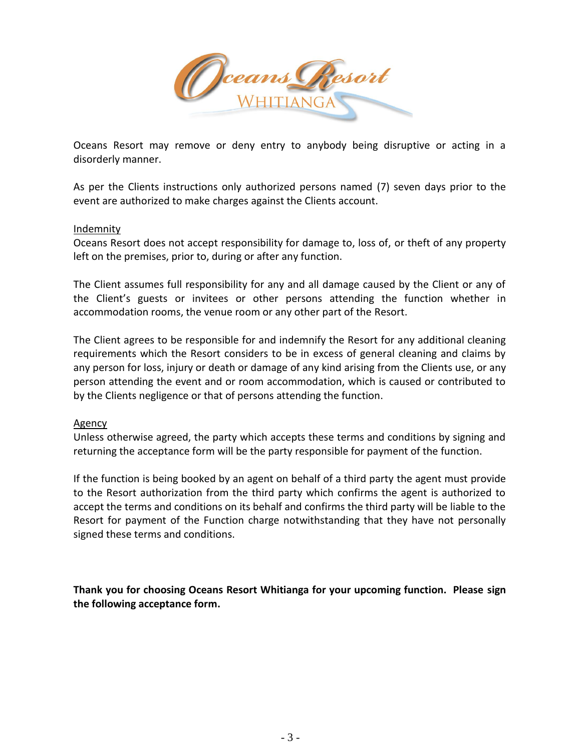Ceans Resort

Oceans Resort may remove or deny entry to anybody being disruptive or acting in a disorderly manner.

As per the Clients instructions only authorized persons named (7) seven days prior to the event are authorized to make charges against the Clients account.

#### Indemnity

Oceans Resort does not accept responsibility for damage to, loss of, or theft of any property left on the premises, prior to, during or after any function.

The Client assumes full responsibility for any and all damage caused by the Client or any of the Client's guests or invitees or other persons attending the function whether in accommodation rooms, the venue room or any other part of the Resort.

The Client agrees to be responsible for and indemnify the Resort for any additional cleaning requirements which the Resort considers to be in excess of general cleaning and claims by any person for loss, injury or death or damage of any kind arising from the Clients use, or any person attending the event and or room accommodation, which is caused or contributed to by the Clients negligence or that of persons attending the function.

# Agency

Unless otherwise agreed, the party which accepts these terms and conditions by signing and returning the acceptance form will be the party responsible for payment of the function.

If the function is being booked by an agent on behalf of a third party the agent must provide to the Resort authorization from the third party which confirms the agent is authorized to accept the terms and conditions on its behalf and confirms the third party will be liable to the Resort for payment of the Function charge notwithstanding that they have not personally signed these terms and conditions.

**Thank you for choosing Oceans Resort Whitianga for your upcoming function. Please sign the following acceptance form.**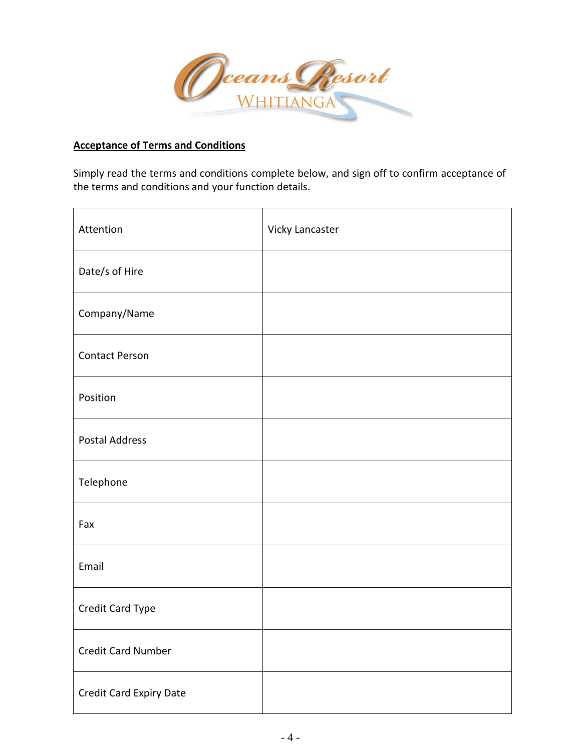

# **Acceptance of Terms and Conditions**

Simply read the terms and conditions complete below, and sign off to confirm acceptance of the terms and conditions and your function details.

| Attention               | Vicky Lancaster |
|-------------------------|-----------------|
| Date/s of Hire          |                 |
| Company/Name            |                 |
| <b>Contact Person</b>   |                 |
| Position                |                 |
| <b>Postal Address</b>   |                 |
| Telephone               |                 |
| Fax                     |                 |
| Email                   |                 |
| Credit Card Type        |                 |
| Credit Card Number      |                 |
| Credit Card Expiry Date |                 |